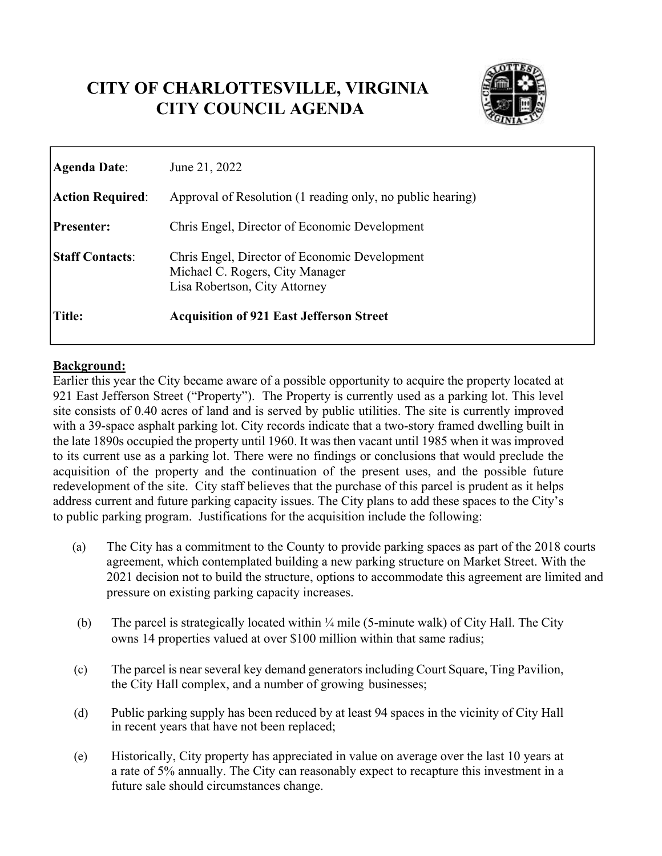# **CITY OF CHARLOTTESVILLE, VIRGINIA CITY COUNCIL AGENDA**



| Agenda Date:            | June 21, 2022                                                                                                     |
|-------------------------|-------------------------------------------------------------------------------------------------------------------|
| <b>Action Required:</b> | Approval of Resolution (1 reading only, no public hearing)                                                        |
| <b>Presenter:</b>       | Chris Engel, Director of Economic Development                                                                     |
| <b>Staff Contacts:</b>  | Chris Engel, Director of Economic Development<br>Michael C. Rogers, City Manager<br>Lisa Robertson, City Attorney |
| Title:                  | <b>Acquisition of 921 East Jefferson Street</b>                                                                   |

#### **Background:**

Earlier this year the City became aware of a possible opportunity to acquire the property located at 921 East Jefferson Street ("Property"). The Property is currently used as a parking lot. This level site consists of 0.40 acres of land and is served by public utilities. The site is currently improved with a 39-space asphalt parking lot. City records indicate that a two-story framed dwelling built in the late 1890s occupied the property until 1960. It was then vacant until 1985 when it was improved to its current use as a parking lot. There were no findings or conclusions that would preclude the acquisition of the property and the continuation of the present uses, and the possible future redevelopment of the site. City staff believes that the purchase of this parcel is prudent as it helps address current and future parking capacity issues. The City plans to add these spaces to the City's to public parking program. Justifications for the acquisition include the following:

- (a) The City has a commitment to the County to provide parking spaces as part of the 2018 courts agreement, which contemplated building a new parking structure on Market Street. With the 2021 decision not to build the structure, options to accommodate this agreement are limited and pressure on existing parking capacity increases.
- (b) The parcel is strategically located within ¼ mile (5-minute walk) of City Hall. The City owns 14 properties valued at over \$100 million within that same radius;
- (c) The parcel is near several key demand generators including Court Square, Ting Pavilion, the City Hall complex, and a number of growing businesses;
- (d) Public parking supply has been reduced by at least 94 spaces in the vicinity of City Hall in recent years that have not been replaced;
- (e) Historically, City property has appreciated in value on average over the last 10 years at a rate of 5% annually. The City can reasonably expect to recapture this investment in a future sale should circumstances change.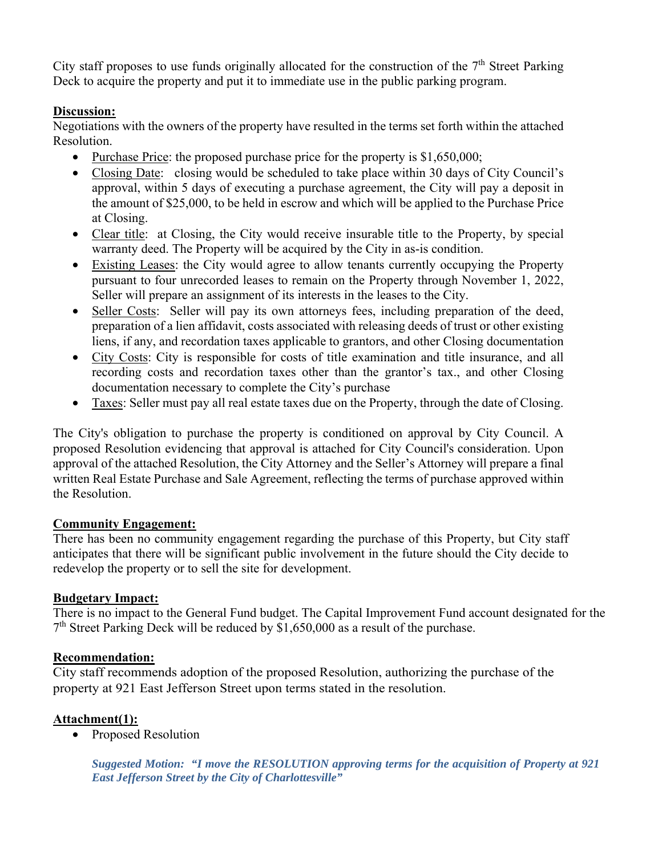City staff proposes to use funds originally allocated for the construction of the  $7<sup>th</sup>$  Street Parking Deck to acquire the property and put it to immediate use in the public parking program.

## **Discussion:**

Negotiations with the owners of the property have resulted in the terms set forth within the attached Resolution.

- Purchase Price: the proposed purchase price for the property is \$1,650,000;
- Closing Date: closing would be scheduled to take place within 30 days of City Council's approval, within 5 days of executing a purchase agreement, the City will pay a deposit in the amount of \$25,000, to be held in escrow and which will be applied to the Purchase Price at Closing.
- Clear title: at Closing, the City would receive insurable title to the Property, by special warranty deed. The Property will be acquired by the City in as-is condition.
- Existing Leases: the City would agree to allow tenants currently occupying the Property pursuant to four unrecorded leases to remain on the Property through November 1, 2022, Seller will prepare an assignment of its interests in the leases to the City.
- Seller Costs: Seller will pay its own attorneys fees, including preparation of the deed, preparation of a lien affidavit, costs associated with releasing deeds of trust or other existing liens, if any, and recordation taxes applicable to grantors, and other Closing documentation
- City Costs: City is responsible for costs of title examination and title insurance, and all recording costs and recordation taxes other than the grantor's tax., and other Closing documentation necessary to complete the City's purchase
- Taxes: Seller must pay all real estate taxes due on the Property, through the date of Closing.

The City's obligation to purchase the property is conditioned on approval by City Council. A proposed Resolution evidencing that approval is attached for City Council's consideration. Upon approval of the attached Resolution, the City Attorney and the Seller's Attorney will prepare a final written Real Estate Purchase and Sale Agreement, reflecting the terms of purchase approved within the Resolution.

## **Community Engagement:**

There has been no community engagement regarding the purchase of this Property, but City staff anticipates that there will be significant public involvement in the future should the City decide to redevelop the property or to sell the site for development.

## **Budgetary Impact:**

There is no impact to the General Fund budget. The Capital Improvement Fund account designated for the  $7<sup>th</sup>$  Street Parking Deck will be reduced by \$1,650,000 as a result of the purchase.

# **Recommendation:**

City staff recommends adoption of the proposed Resolution, authorizing the purchase of the property at 921 East Jefferson Street upon terms stated in the resolution.

# **Attachment(1):**

• Proposed Resolution

*Suggested Motion: "I move the RESOLUTION approving terms for the acquisition of Property at 921 East Jefferson Street by the City of Charlottesville"*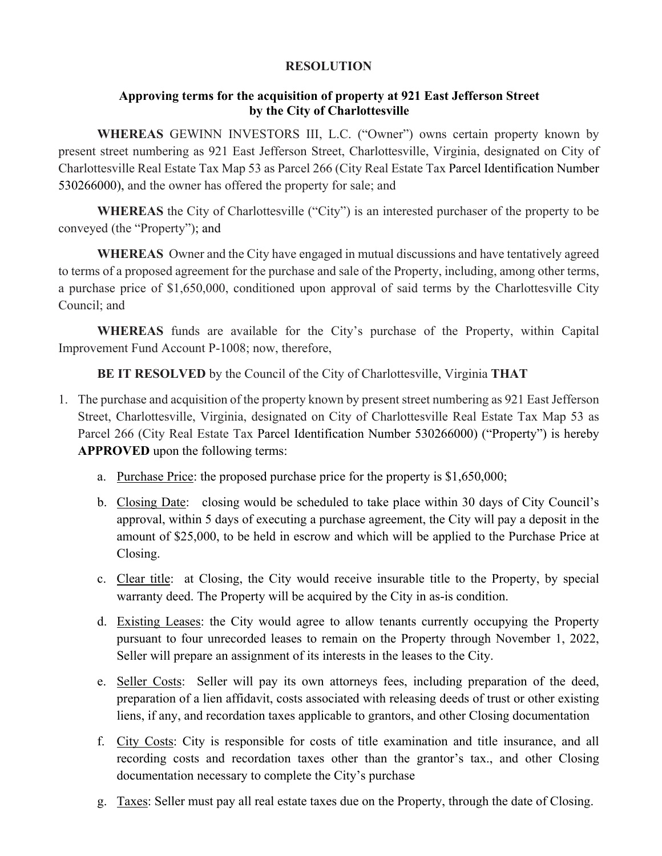#### **RESOLUTION**

### **Approving terms for the acquisition of property at 921 East Jefferson Street by the City of Charlottesville**

**WHEREAS** GEWINN INVESTORS III, L.C. ("Owner") owns certain property known by present street numbering as 921 East Jefferson Street, Charlottesville, Virginia, designated on City of Charlottesville Real Estate Tax Map 53 as Parcel 266 (City Real Estate Tax Parcel Identification Number 530266000), and the owner has offered the property for sale; and

**WHEREAS** the City of Charlottesville ("City") is an interested purchaser of the property to be conveyed (the "Property"); and

**WHEREAS** Owner and the City have engaged in mutual discussions and have tentatively agreed to terms of a proposed agreement for the purchase and sale of the Property, including, among other terms, a purchase price of \$1,650,000, conditioned upon approval of said terms by the Charlottesville City Council; and

**WHEREAS** funds are available for the City's purchase of the Property, within Capital Improvement Fund Account P-1008; now, therefore,

**BE IT RESOLVED** by the Council of the City of Charlottesville, Virginia **THAT**

- 1. The purchase and acquisition of the property known by present street numbering as 921 East Jefferson Street, Charlottesville, Virginia, designated on City of Charlottesville Real Estate Tax Map 53 as Parcel 266 (City Real Estate Tax Parcel Identification Number 530266000) ("Property") is hereby **APPROVED** upon the following terms:
	- a. Purchase Price: the proposed purchase price for the property is \$1,650,000;
	- b. Closing Date: closing would be scheduled to take place within 30 days of City Council's approval, within 5 days of executing a purchase agreement, the City will pay a deposit in the amount of \$25,000, to be held in escrow and which will be applied to the Purchase Price at Closing.
	- c. Clear title: at Closing, the City would receive insurable title to the Property, by special warranty deed. The Property will be acquired by the City in as-is condition.
	- d. Existing Leases: the City would agree to allow tenants currently occupying the Property pursuant to four unrecorded leases to remain on the Property through November 1, 2022, Seller will prepare an assignment of its interests in the leases to the City.
	- e. Seller Costs: Seller will pay its own attorneys fees, including preparation of the deed, preparation of a lien affidavit, costs associated with releasing deeds of trust or other existing liens, if any, and recordation taxes applicable to grantors, and other Closing documentation
	- f. City Costs: City is responsible for costs of title examination and title insurance, and all recording costs and recordation taxes other than the grantor's tax., and other Closing documentation necessary to complete the City's purchase
	- g. Taxes: Seller must pay all real estate taxes due on the Property, through the date of Closing.